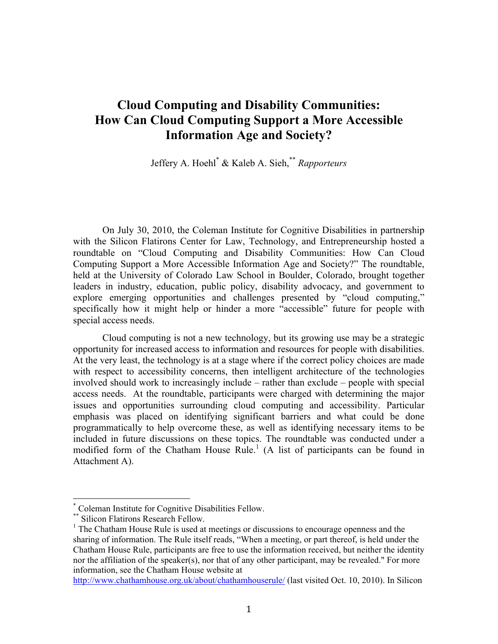# **Cloud Computing and Disability Communities: How Can Cloud Computing Support a More Accessible Information Age and Society?**

Jeffery A. Hoehl\* & Kaleb A. Sieh,\*\* *Rapporteurs*

On July 30, 2010, the Coleman Institute for Cognitive Disabilities in partnership with the Silicon Flatirons Center for Law, Technology, and Entrepreneurship hosted a roundtable on "Cloud Computing and Disability Communities: How Can Cloud Computing Support a More Accessible Information Age and Society?" The roundtable, held at the University of Colorado Law School in Boulder, Colorado, brought together leaders in industry, education, public policy, disability advocacy, and government to explore emerging opportunities and challenges presented by "cloud computing," specifically how it might help or hinder a more "accessible" future for people with special access needs.

Cloud computing is not a new technology, but its growing use may be a strategic opportunity for increased access to information and resources for people with disabilities. At the very least, the technology is at a stage where if the correct policy choices are made with respect to accessibility concerns, then intelligent architecture of the technologies involved should work to increasingly include – rather than exclude – people with special access needs. At the roundtable, participants were charged with determining the major issues and opportunities surrounding cloud computing and accessibility. Particular emphasis was placed on identifying significant barriers and what could be done programmatically to help overcome these, as well as identifying necessary items to be included in future discussions on these topics. The roundtable was conducted under a modified form of the Chatham House Rule.<sup>1</sup> (A list of participants can be found in Attachment A).

<sup>\*</sup> Coleman Institute for Cognitive Disabilities Fellow.

<sup>\*\*</sup> Silicon Flatirons Research Fellow.

<sup>&</sup>lt;sup>1</sup> The Chatham House Rule is used at meetings or discussions to encourage openness and the sharing of information. The Rule itself reads, "When a meeting, or part thereof, is held under the Chatham House Rule, participants are free to use the information received, but neither the identity nor the affiliation of the speaker(s), nor that of any other participant, may be revealed." For more information, see the Chatham House website at

http://www.chathamhouse.org.uk/about/chathamhouserule/ (last visited Oct. 10, 2010). In Silicon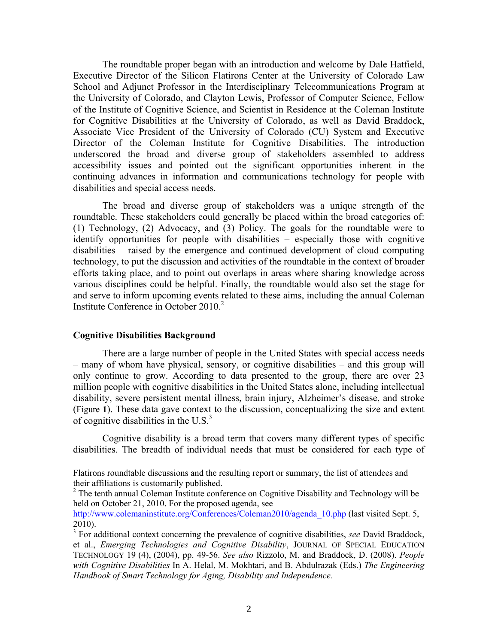The roundtable proper began with an introduction and welcome by Dale Hatfield, Executive Director of the Silicon Flatirons Center at the University of Colorado Law School and Adjunct Professor in the Interdisciplinary Telecommunications Program at the University of Colorado, and Clayton Lewis, Professor of Computer Science, Fellow of the Institute of Cognitive Science, and Scientist in Residence at the Coleman Institute for Cognitive Disabilities at the University of Colorado, as well as David Braddock, Associate Vice President of the University of Colorado (CU) System and Executive Director of the Coleman Institute for Cognitive Disabilities. The introduction underscored the broad and diverse group of stakeholders assembled to address accessibility issues and pointed out the significant opportunities inherent in the continuing advances in information and communications technology for people with disabilities and special access needs.

The broad and diverse group of stakeholders was a unique strength of the roundtable. These stakeholders could generally be placed within the broad categories of: (1) Technology, (2) Advocacy, and (3) Policy. The goals for the roundtable were to identify opportunities for people with disabilities – especially those with cognitive disabilities – raised by the emergence and continued development of cloud computing technology, to put the discussion and activities of the roundtable in the context of broader efforts taking place, and to point out overlaps in areas where sharing knowledge across various disciplines could be helpful. Finally, the roundtable would also set the stage for and serve to inform upcoming events related to these aims, including the annual Coleman Institute Conference in October  $2010<sup>2</sup>$ 

#### **Cognitive Disabilities Background**

There are a large number of people in the United States with special access needs – many of whom have physical, sensory, or cognitive disabilities – and this group will only continue to grow. According to data presented to the group, there are over 23 million people with cognitive disabilities in the United States alone, including intellectual disability, severe persistent mental illness, brain injury, Alzheimer's disease, and stroke (Figure **1**). These data gave context to the discussion, conceptualizing the size and extent of cognitive disabilities in the U.S. $3$ 

Cognitive disability is a broad term that covers many different types of specific disabilities. The breadth of individual needs that must be considered for each type of

!!!!!!!!!!!!!!!!!!!!!!!!!!!!!!!!!!!!!!!!!!!!!!!!!!!!!!!!!!!!!!!!!!!!!!!!!!!!!!!!!!!!!!!!!!!!!!!!!!!!!!!!!!!!!!!!!!!!!!!!!!!!!!!!!!!!!!!!!!!!!!!!!!!!!!!!!!!!!!!!!!!!

Flatirons roundtable discussions and the resulting report or summary, the list of attendees and their affiliations is customarily published.

<sup>&</sup>lt;sup>2</sup> The tenth annual Coleman Institute conference on Cognitive Disability and Technology will be held on October 21, 2010. For the proposed agenda, see

http://www.colemaninstitute.org/Conferences/Coleman2010/agenda\_10.php (last visited Sept. 5, 2010).

<sup>3</sup> For additional context concerning the prevalence of cognitive disabilities, *see* David Braddock, et al., *Emerging Technologies and Cognitive Disability*, JOURNAL OF SPECIAL EDUCATION TECHNOLOGY 19 (4), (2004), pp. 49-56. *See also* Rizzolo, M. and Braddock, D. (2008). *People with Cognitive Disabilities* In A. Helal, M. Mokhtari, and B. Abdulrazak (Eds.) *The Engineering Handbook of Smart Technology for Aging, Disability and Independence.*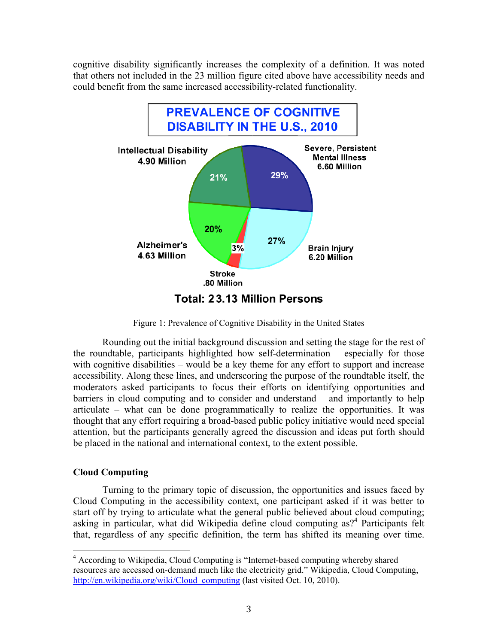cognitive disability significantly increases the complexity of a definition. It was noted that others not included in the 23 million figure cited above have accessibility needs and could benefit from the same increased accessibility-related functionality.



Figure 1: Prevalence of Cognitive Disability in the United States

Rounding out the initial background discussion and setting the stage for the rest of the roundtable, participants highlighted how self-determination – especially for those with cognitive disabilities – would be a key theme for any effort to support and increase accessibility. Along these lines, and underscoring the purpose of the roundtable itself, the moderators asked participants to focus their efforts on identifying opportunities and barriers in cloud computing and to consider and understand – and importantly to help articulate – what can be done programmatically to realize the opportunities. It was thought that any effort requiring a broad-based public policy initiative would need special attention, but the participants generally agreed the discussion and ideas put forth should be placed in the national and international context, to the extent possible.

## **Cloud Computing**

!!!!!!!!!!!!!!!!!!!!!!!!!!!!!!!!!!!!!!!!!!!!!!!!!!!!!!!

Turning to the primary topic of discussion, the opportunities and issues faced by Cloud Computing in the accessibility context, one participant asked if it was better to start off by trying to articulate what the general public believed about cloud computing; asking in particular, what did Wikipedia define cloud computing as?<sup>4</sup> Participants felt that, regardless of any specific definition, the term has shifted its meaning over time.

<sup>&</sup>lt;sup>4</sup> According to Wikipedia, Cloud Computing is "Internet-based computing whereby shared resources are accessed on-demand much like the electricity grid." Wikipedia, Cloud Computing, http://en.wikipedia.org/wiki/Cloud\_computing (last visited Oct. 10, 2010).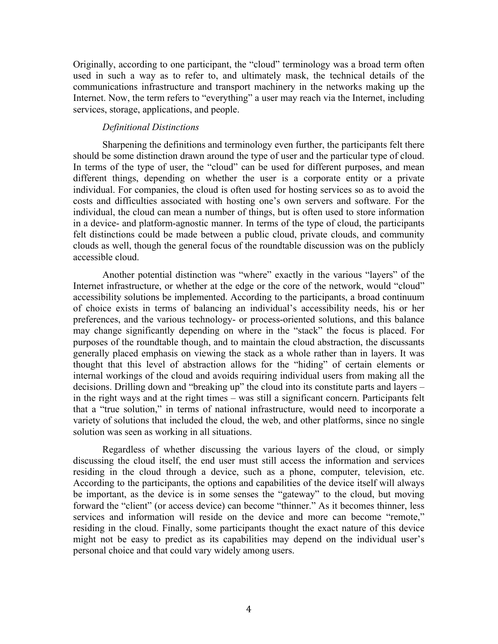Originally, according to one participant, the "cloud" terminology was a broad term often used in such a way as to refer to, and ultimately mask, the technical details of the communications infrastructure and transport machinery in the networks making up the Internet. Now, the term refers to "everything" a user may reach via the Internet, including services, storage, applications, and people.

#### *Definitional Distinctions*

Sharpening the definitions and terminology even further, the participants felt there should be some distinction drawn around the type of user and the particular type of cloud. In terms of the type of user, the "cloud" can be used for different purposes, and mean different things, depending on whether the user is a corporate entity or a private individual. For companies, the cloud is often used for hosting services so as to avoid the costs and difficulties associated with hosting one's own servers and software. For the individual, the cloud can mean a number of things, but is often used to store information in a device- and platform-agnostic manner. In terms of the type of cloud, the participants felt distinctions could be made between a public cloud, private clouds, and community clouds as well, though the general focus of the roundtable discussion was on the publicly accessible cloud.

Another potential distinction was "where" exactly in the various "layers" of the Internet infrastructure, or whether at the edge or the core of the network, would "cloud" accessibility solutions be implemented. According to the participants, a broad continuum of choice exists in terms of balancing an individual's accessibility needs, his or her preferences, and the various technology- or process-oriented solutions, and this balance may change significantly depending on where in the "stack" the focus is placed. For purposes of the roundtable though, and to maintain the cloud abstraction, the discussants generally placed emphasis on viewing the stack as a whole rather than in layers. It was thought that this level of abstraction allows for the "hiding" of certain elements or internal workings of the cloud and avoids requiring individual users from making all the decisions. Drilling down and "breaking up" the cloud into its constitute parts and layers – in the right ways and at the right times – was still a significant concern. Participants felt that a "true solution," in terms of national infrastructure, would need to incorporate a variety of solutions that included the cloud, the web, and other platforms, since no single solution was seen as working in all situations.

Regardless of whether discussing the various layers of the cloud, or simply discussing the cloud itself, the end user must still access the information and services residing in the cloud through a device, such as a phone, computer, television, etc. According to the participants, the options and capabilities of the device itself will always be important, as the device is in some senses the "gateway" to the cloud, but moving forward the "client" (or access device) can become "thinner." As it becomes thinner, less services and information will reside on the device and more can become "remote," residing in the cloud. Finally, some participants thought the exact nature of this device might not be easy to predict as its capabilities may depend on the individual user's personal choice and that could vary widely among users.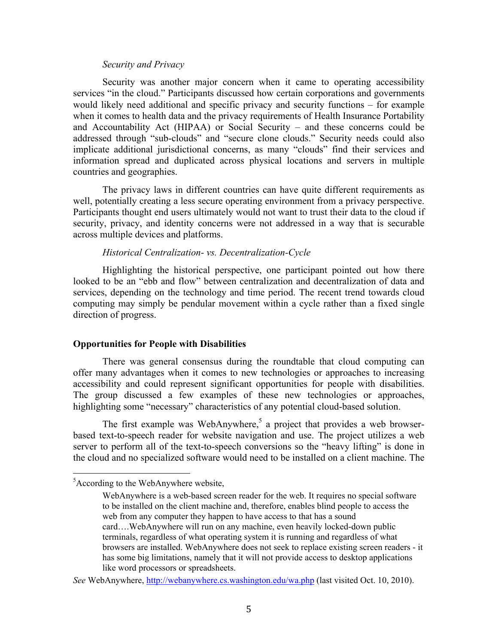#### *Security and Privacy*

Security was another major concern when it came to operating accessibility services "in the cloud." Participants discussed how certain corporations and governments would likely need additional and specific privacy and security functions – for example when it comes to health data and the privacy requirements of Health Insurance Portability and Accountability Act (HIPAA) or Social Security – and these concerns could be addressed through "sub-clouds" and "secure clone clouds." Security needs could also implicate additional jurisdictional concerns, as many "clouds" find their services and information spread and duplicated across physical locations and servers in multiple countries and geographies.

The privacy laws in different countries can have quite different requirements as well, potentially creating a less secure operating environment from a privacy perspective. Participants thought end users ultimately would not want to trust their data to the cloud if security, privacy, and identity concerns were not addressed in a way that is securable across multiple devices and platforms.

#### *Historical Centralization- vs. Decentralization-Cycle*

Highlighting the historical perspective, one participant pointed out how there looked to be an "ebb and flow" between centralization and decentralization of data and services, depending on the technology and time period. The recent trend towards cloud computing may simply be pendular movement within a cycle rather than a fixed single direction of progress.

#### **Opportunities for People with Disabilities**

There was general consensus during the roundtable that cloud computing can offer many advantages when it comes to new technologies or approaches to increasing accessibility and could represent significant opportunities for people with disabilities. The group discussed a few examples of these new technologies or approaches, highlighting some "necessary" characteristics of any potential cloud-based solution.

The first example was WebAnywhere,<sup>5</sup> a project that provides a web browserbased text-to-speech reader for website navigation and use. The project utilizes a web server to perform all of the text-to-speech conversions so the "heavy lifting" is done in the cloud and no specialized software would need to be installed on a client machine. The

!!!!!!!!!!!!!!!!!!!!!!!!!!!!!!!!!!!!!!!!!!!!!!!!!!!!!!!

<sup>&</sup>lt;sup>5</sup> According to the WebAnywhere website,

WebAnywhere is a web-based screen reader for the web. It requires no special software to be installed on the client machine and, therefore, enables blind people to access the web from any computer they happen to have access to that has a sound card….WebAnywhere will run on any machine, even heavily locked-down public terminals, regardless of what operating system it is running and regardless of what browsers are installed. WebAnywhere does not seek to replace existing screen readers - it has some big limitations, namely that it will not provide access to desktop applications like word processors or spreadsheets.

*See* WebAnywhere, http://webanywhere.cs.washington.edu/wa.php (last visited Oct. 10, 2010).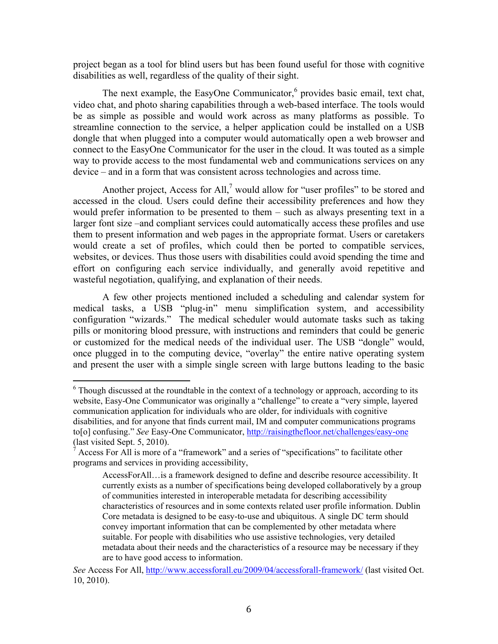project began as a tool for blind users but has been found useful for those with cognitive disabilities as well, regardless of the quality of their sight.

The next example, the EasyOne Communicator, $6$  provides basic email, text chat, video chat, and photo sharing capabilities through a web-based interface. The tools would be as simple as possible and would work across as many platforms as possible. To streamline connection to the service, a helper application could be installed on a USB dongle that when plugged into a computer would automatically open a web browser and connect to the EasyOne Communicator for the user in the cloud. It was touted as a simple way to provide access to the most fundamental web and communications services on any device – and in a form that was consistent across technologies and across time.

Another project, Access for All, $<sup>7</sup>$  would allow for "user profiles" to be stored and</sup> accessed in the cloud. Users could define their accessibility preferences and how they would prefer information to be presented to them – such as always presenting text in a larger font size –and compliant services could automatically access these profiles and use them to present information and web pages in the appropriate format. Users or caretakers would create a set of profiles, which could then be ported to compatible services, websites, or devices. Thus those users with disabilities could avoid spending the time and effort on configuring each service individually, and generally avoid repetitive and wasteful negotiation, qualifying, and explanation of their needs.

A few other projects mentioned included a scheduling and calendar system for medical tasks, a USB "plug-in" menu simplification system, and accessibility configuration "wizards." The medical scheduler would automate tasks such as taking pills or monitoring blood pressure, with instructions and reminders that could be generic or customized for the medical needs of the individual user. The USB "dongle" would, once plugged in to the computing device, "overlay" the entire native operating system and present the user with a simple single screen with large buttons leading to the basic

!!!!!!!!!!!!!!!!!!!!!!!!!!!!!!!!!!!!!!!!!!!!!!!!!!!!!!!

<sup>&</sup>lt;sup>6</sup> Though discussed at the roundtable in the context of a technology or approach, according to its website, Easy-One Communicator was originally a "challenge" to create a "very simple, layered communication application for individuals who are older, for individuals with cognitive disabilities, and for anyone that finds current mail, IM and computer communications programs to[o] confusing." *See* Easy-One Communicator, http://raisingthefloor.net/challenges/easy-one (last visited Sept. 5, 2010).

 $\alpha$  Access For All is more of a "framework" and a series of "specifications" to facilitate other programs and services in providing accessibility,

AccessForAll…is a framework designed to define and describe resource accessibility. It currently exists as a number of specifications being developed collaboratively by a group of communities interested in interoperable metadata for describing accessibility characteristics of resources and in some contexts related user profile information. Dublin Core metadata is designed to be easy-to-use and ubiquitous. A single DC term should convey important information that can be complemented by other metadata where suitable. For people with disabilities who use assistive technologies, very detailed metadata about their needs and the characteristics of a resource may be necessary if they are to have good access to information.

*See* Access For All, http://www.accessforall.eu/2009/04/accessforall-framework/ (last visited Oct. 10, 2010).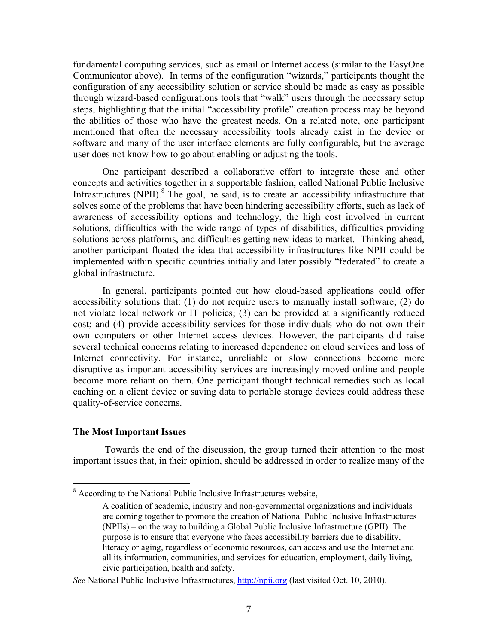fundamental computing services, such as email or Internet access (similar to the EasyOne Communicator above). In terms of the configuration "wizards," participants thought the configuration of any accessibility solution or service should be made as easy as possible through wizard-based configurations tools that "walk" users through the necessary setup steps, highlighting that the initial "accessibility profile" creation process may be beyond the abilities of those who have the greatest needs. On a related note, one participant mentioned that often the necessary accessibility tools already exist in the device or software and many of the user interface elements are fully configurable, but the average user does not know how to go about enabling or adjusting the tools.

One participant described a collaborative effort to integrate these and other concepts and activities together in a supportable fashion, called National Public Inclusive Infrastructures (NPII). $^{8}$  The goal, he said, is to create an accessibility infrastructure that solves some of the problems that have been hindering accessibility efforts, such as lack of awareness of accessibility options and technology, the high cost involved in current solutions, difficulties with the wide range of types of disabilities, difficulties providing solutions across platforms, and difficulties getting new ideas to market. Thinking ahead, another participant floated the idea that accessibility infrastructures like NPII could be implemented within specific countries initially and later possibly "federated" to create a global infrastructure.

In general, participants pointed out how cloud-based applications could offer accessibility solutions that: (1) do not require users to manually install software; (2) do not violate local network or IT policies; (3) can be provided at a significantly reduced cost; and (4) provide accessibility services for those individuals who do not own their own computers or other Internet access devices. However, the participants did raise several technical concerns relating to increased dependence on cloud services and loss of Internet connectivity. For instance, unreliable or slow connections become more disruptive as important accessibility services are increasingly moved online and people become more reliant on them. One participant thought technical remedies such as local caching on a client device or saving data to portable storage devices could address these quality-of-service concerns.

#### **The Most Important Issues**

!!!!!!!!!!!!!!!!!!!!!!!!!!!!!!!!!!!!!!!!!!!!!!!!!!!!!!!

 Towards the end of the discussion, the group turned their attention to the most important issues that, in their opinion, should be addressed in order to realize many of the

<sup>8</sup> According to the National Public Inclusive Infrastructures website,

A coalition of academic, industry and non-governmental organizations and individuals are coming together to promote the creation of National Public Inclusive Infrastructures (NPIIs) – on the way to building a Global Public Inclusive Infrastructure (GPII). The purpose is to ensure that everyone who faces accessibility barriers due to disability, literacy or aging, regardless of economic resources, can access and use the Internet and all its information, communities, and services for education, employment, daily living, civic participation, health and safety.

See National Public Inclusive Infrastructures, **http://npii.org** (last visited Oct. 10, 2010).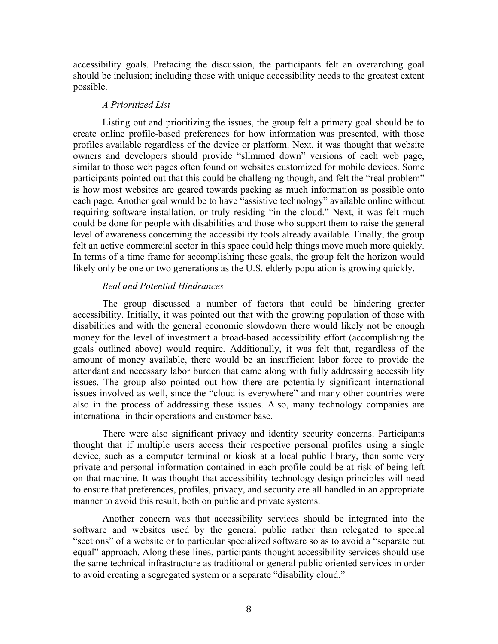accessibility goals. Prefacing the discussion, the participants felt an overarching goal should be inclusion; including those with unique accessibility needs to the greatest extent possible.

#### *A Prioritized List*

Listing out and prioritizing the issues, the group felt a primary goal should be to create online profile-based preferences for how information was presented, with those profiles available regardless of the device or platform. Next, it was thought that website owners and developers should provide "slimmed down" versions of each web page, similar to those web pages often found on websites customized for mobile devices. Some participants pointed out that this could be challenging though, and felt the "real problem" is how most websites are geared towards packing as much information as possible onto each page. Another goal would be to have "assistive technology" available online without requiring software installation, or truly residing "in the cloud." Next, it was felt much could be done for people with disabilities and those who support them to raise the general level of awareness concerning the accessibility tools already available. Finally, the group felt an active commercial sector in this space could help things move much more quickly. In terms of a time frame for accomplishing these goals, the group felt the horizon would likely only be one or two generations as the U.S. elderly population is growing quickly.

## *Real and Potential Hindrances*

The group discussed a number of factors that could be hindering greater accessibility. Initially, it was pointed out that with the growing population of those with disabilities and with the general economic slowdown there would likely not be enough money for the level of investment a broad-based accessibility effort (accomplishing the goals outlined above) would require. Additionally, it was felt that, regardless of the amount of money available, there would be an insufficient labor force to provide the attendant and necessary labor burden that came along with fully addressing accessibility issues. The group also pointed out how there are potentially significant international issues involved as well, since the "cloud is everywhere" and many other countries were also in the process of addressing these issues. Also, many technology companies are international in their operations and customer base.

There were also significant privacy and identity security concerns. Participants thought that if multiple users access their respective personal profiles using a single device, such as a computer terminal or kiosk at a local public library, then some very private and personal information contained in each profile could be at risk of being left on that machine. It was thought that accessibility technology design principles will need to ensure that preferences, profiles, privacy, and security are all handled in an appropriate manner to avoid this result, both on public and private systems.

Another concern was that accessibility services should be integrated into the software and websites used by the general public rather than relegated to special "sections" of a website or to particular specialized software so as to avoid a "separate but equal" approach. Along these lines, participants thought accessibility services should use the same technical infrastructure as traditional or general public oriented services in order to avoid creating a segregated system or a separate "disability cloud."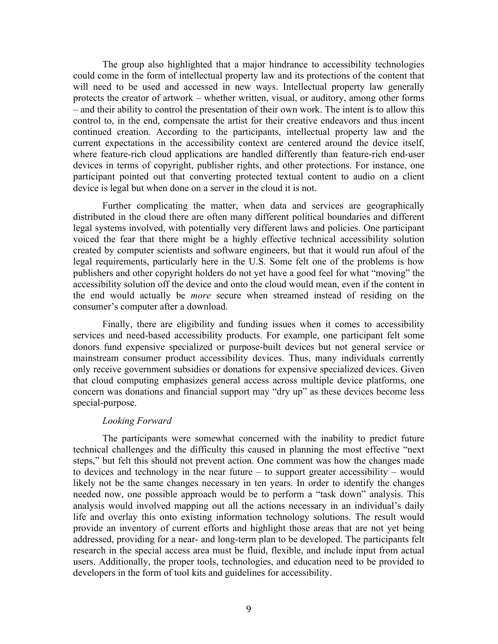The group also highlighted that a major hindrance to accessibility technologies could come in the form of intellectual property law and its protections of the content that will need to be used and accessed in new ways. Intellectual property law generally protects the creator of artwork – whether written, visual, or auditory, among other forms – and their ability to control the presentation of their own work. The intent is to allow this control to, in the end, compensate the artist for their creative endeavors and thus incent continued creation. According to the participants, intellectual property law and the current expectations in the accessibility context are centered around the device itself, where feature-rich cloud applications are handled differently than feature-rich end-user devices in terms of copyright, publisher rights, and other protections. For instance, one participant pointed out that converting protected textual content to audio on a client device is legal but when done on a server in the cloud it is not.

Further complicating the matter, when data and services are geographically distributed in the cloud there are often many different political boundaries and different legal systems involved, with potentially very different laws and policies. One participant voiced the fear that there might be a highly effective technical accessibility solution created by computer scientists and software engineers, but that it would run afoul of the legal requirements, particularly here in the U.S. Some felt one of the problems is how publishers and other copyright holders do not yet have a good feel for what "moving" the accessibility solution off the device and onto the cloud would mean, even if the content in the end would actually be *more* secure when streamed instead of residing on the consumer's computer after a download.

Finally, there are eligibility and funding issues when it comes to accessibility services and need-based accessibility products. For example, one participant felt some donors fund expensive specialized or purpose-built devices but not general service or mainstream consumer product accessibility devices. Thus, many individuals currently only receive government subsidies or donations for expensive specialized devices. Given that cloud computing emphasizes general access across multiple device platforms, one concern was donations and financial support may "dry up" as these devices become less special-purpose.

#### *Looking Forward*

The participants were somewhat concerned with the inability to predict future technical challenges and the difficulty this caused in planning the most effective "next steps," but felt this should not prevent action. One comment was how the changes made to devices and technology in the near future – to support greater accessibility – would likely not be the same changes necessary in ten years. In order to identify the changes needed now, one possible approach would be to perform a "task down" analysis. This analysis would involved mapping out all the actions necessary in an individual's daily life and overlay this onto existing information technology solutions. The result would provide an inventory of current efforts and highlight those areas that are not yet being addressed, providing for a near- and long-term plan to be developed. The participants felt research in the special access area must be fluid, flexible, and include input from actual users. Additionally, the proper tools, technologies, and education need to be provided to developers in the form of tool kits and guidelines for accessibility.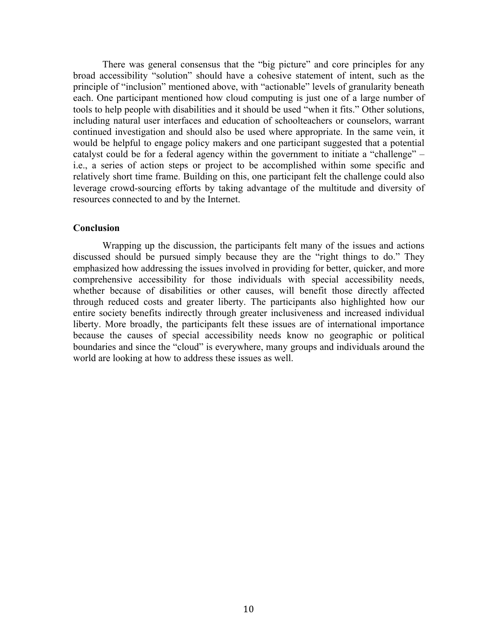There was general consensus that the "big picture" and core principles for any broad accessibility "solution" should have a cohesive statement of intent, such as the principle of "inclusion" mentioned above, with "actionable" levels of granularity beneath each. One participant mentioned how cloud computing is just one of a large number of tools to help people with disabilities and it should be used "when it fits." Other solutions, including natural user interfaces and education of schoolteachers or counselors, warrant continued investigation and should also be used where appropriate. In the same vein, it would be helpful to engage policy makers and one participant suggested that a potential catalyst could be for a federal agency within the government to initiate a "challenge" – i.e., a series of action steps or project to be accomplished within some specific and relatively short time frame. Building on this, one participant felt the challenge could also leverage crowd-sourcing efforts by taking advantage of the multitude and diversity of resources connected to and by the Internet.

## **Conclusion**

Wrapping up the discussion, the participants felt many of the issues and actions discussed should be pursued simply because they are the "right things to do." They emphasized how addressing the issues involved in providing for better, quicker, and more comprehensive accessibility for those individuals with special accessibility needs, whether because of disabilities or other causes, will benefit those directly affected through reduced costs and greater liberty. The participants also highlighted how our entire society benefits indirectly through greater inclusiveness and increased individual liberty. More broadly, the participants felt these issues are of international importance because the causes of special accessibility needs know no geographic or political boundaries and since the "cloud" is everywhere, many groups and individuals around the world are looking at how to address these issues as well.